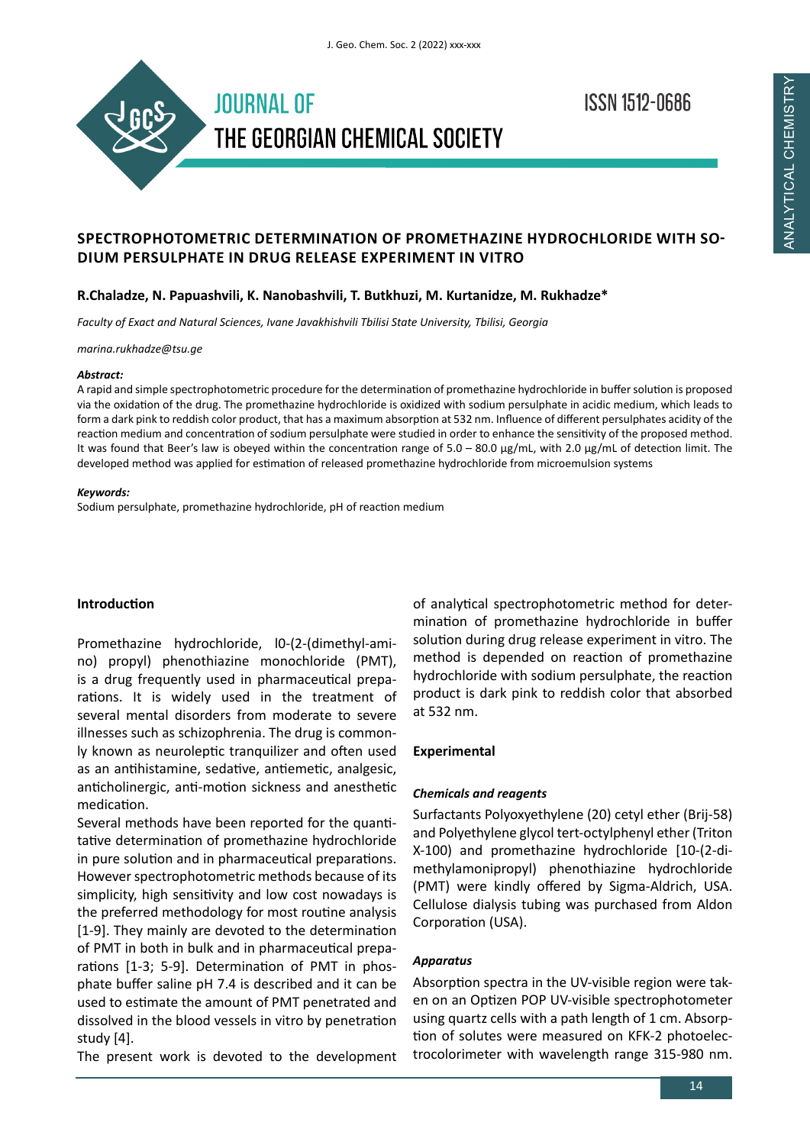

**ISSN 1512-0686** 

# **SPECTROPHOTOMETRIC DETERMINATION OF PROMETHAZINE HYDROCHLORIDE WITH SO-DIUM PERSULPHATE IN DRUG RELEASE EXPERIMENT IN VITRO**

## **R.Chaladze, N. Papuashvili, K. Nanobashvili, T. Butkhuzi, M. Kurtanidze, M. Rukhadze\***

*Faculty of Exact and Natural Sciences, Ivane Javakhishvili Tbilisi State University, Tbilisi, Georgia*

*marina.rukhadze@tsu.ge*

#### *Abstract:*

A rapid and simple spectrophotometric procedure for the determination of promethazine hydrochloride in buffer solution is proposed via the oxidation of the drug. The promethazine hydrochloride is oxidized with sodium persulphate in acidic medium, which leads to form a dark pink to reddish color product, that has a maximum absorption at 532 nm. Influence of different persulphates acidity of the reaction medium and concentration of sodium persulphate were studied in order to enhance the sensitivity of the proposed method. It was found that Beer's law is obeyed within the concentration range of 5.0 – 80.0 μg/mL, with 2.0 μg/mL of detection limit. The developed method was applied for estimation of released promethazine hydrochloride from microemulsion systems

### *Keywords:*

Sodium persulphate, promethazine hydrochloride, pH of reaction medium

### **Introduction**

Promethazine hydrochloride, l0-(2-(dimethyl-amino) propyl) phenothiazine monochloride (PMT), is a drug frequently used in pharmaceutical preparations. It is widely used in the treatment of several mental disorders from moderate to severe illnesses such as schizophrenia. The drug is commonly known as neuroleptic tranquilizer and often used as an antihistamine, sedative, antiemetic, analgesic, anticholinergic, anti-motion sickness and anesthetic medication.

Several methods have been reported for the quantitative determination of promethazine hydrochloride in pure solution and in pharmaceutical preparations. However spectrophotometric methods because of its simplicity, high sensitivity and low cost nowadays is the preferred methodology for most routine analysis [1-9]. They mainly are devoted to the determination of PMT in both in bulk and in pharmaceutical preparations [1-3; 5-9]. Determination of PMT in phosphate buffer saline pH 7.4 is described and it can be used to estimate the amount of PMT penetrated and dissolved in the blood vessels in vitro by penetration study [4].

The present work is devoted to the development

of analytical spectrophotometric method for determination of promethazine hydrochloride in buffer solution during drug release experiment in vitro. The method is depended on reaction of promethazine hydrochloride with sodium persulphate, the reaction product is dark pink to reddish color that absorbed at 532 nm.

## **Experimental**

### *Chemicals and reagents*

Surfactants Polyoxyethylene (20) cetyl ether (Brij-58) and Polyethylene glycol tert-octylphenyl ether (Triton X-100) and promethazine hydrochloride [10-(2-dimethylamonipropyl) phenothiazine hydrochloride (PMT) were kindly offered by Sigma-Aldrich, USA. Cellulose dialysis tubing was purchased from Aldon Corporation (USA).

## *Apparatus*

Absorption spectra in the UV-visible region were taken on an Optizen POP UV-visible spectrophotometer using quartz cells with a path length of 1 cm. Absorption of solutes were measured on KFK-2 photoelectrocolorimeter with wavelength range 315-980 nm.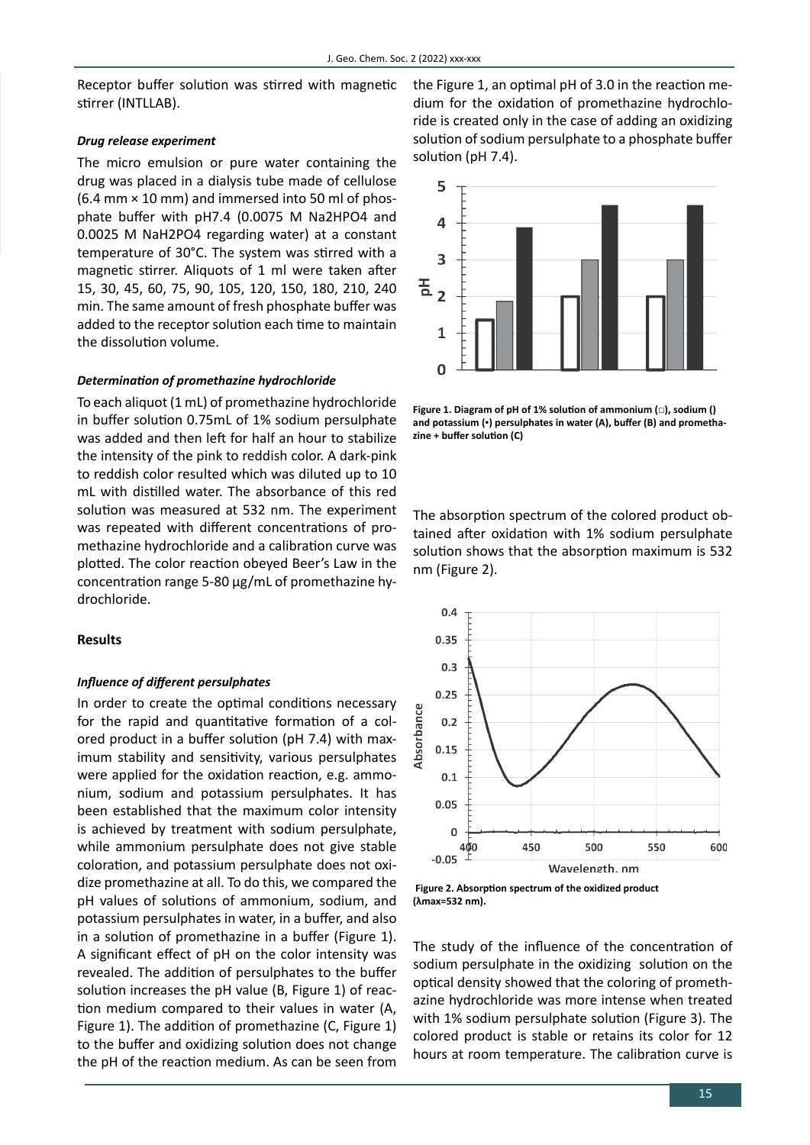Receptor buffer solution was stirred with magnetic stirrer (INTLLAB).

### *Drug release experiment*

The micro emulsion or pure water containing the drug was placed in a dialysis tube made of cellulose (6.4 mm × 10 mm) and immersed into 50 ml of phosphate buffer with pH7.4 (0.0075 M Na2HPO4 and 0.0025 M NaH2PO4 regarding water) at a constant temperature of 30°C. The system was stirred with a magnetic stirrer. Aliquots of 1 ml were taken after 15, 30, 45, 60, 75, 90, 105, 120, 150, 180, 210, 240 min. The same amount of fresh phosphate buffer was added to the receptor solution each time to maintain the dissolution volume.

### *Determination of promethazine hydrochloride*

To each aliquot (1 mL) of promethazine hydrochloride in buffer solution 0.75mL of 1% sodium persulphate was added and then left for half an hour to stabilize the intensity of the pink to reddish color. A dark-pink to reddish color resulted which was diluted up to 10 mL with distilled water. The absorbance of this red solution was measured at 532 nm. The experiment was repeated with different concentrations of promethazine hydrochloride and a calibration curve was plotted. The color reaction obeyed Beer's Law in the concentration range 5-80 μg/mL of promethazine hydrochloride.

### **Results**

### *Influence of different persulphates*

In order to create the optimal conditions necessary for the rapid and quantitative formation of a colored product in a buffer solution (pH 7.4) with maximum stability and sensitivity, various persulphates were applied for the oxidation reaction, e.g. ammonium, sodium and potassium persulphates. It has been established that the maximum color intensity is achieved by treatment with sodium persulphate, while ammonium persulphate does not give stable coloration, and potassium persulphate does not oxidize promethazine at all. To do this, we compared the pH values of solutions of ammonium, sodium, and potassium persulphates in water, in a buffer, and also in a solution of promethazine in a buffer (Figure 1). A significant effect of pH on the color intensity was revealed. The addition of persulphates to the buffer solution increases the pH value (B, Figure 1) of reaction medium compared to their values in water (A, Figure 1). The addition of promethazine (C, Figure 1) to the buffer and oxidizing solution does not change the pH of the reaction medium. As can be seen from

the Figure 1, an optimal pH of 3.0 in the reaction medium for the oxidation of promethazine hydrochloride is created only in the case of adding an oxidizing solution of sodium persulphate to a phosphate buffer solution (pH 7.4).



**Figure 1. Diagram of pH of 1% solution of ammonium (□), sodium () and potassium (▪) persulphates in water (A), buffer (B) and promethazine + buffer solution (C)**

The absorption spectrum of the colored product obtained after oxidation with 1% sodium persulphate solution shows that the absorption maximum is 532 nm (Figure 2).



**Figure 2. Absorption spectrum of the oxidized product (λmax=532 nm).**

The study of the influence of the concentration of sodium persulphate in the oxidizing solution on the optical density showed that the coloring of promethazine hydrochloride was more intense when treated with 1% sodium persulphate solution (Figure 3). The colored product is stable or retains its color for 12 hours at room temperature. The calibration curve is